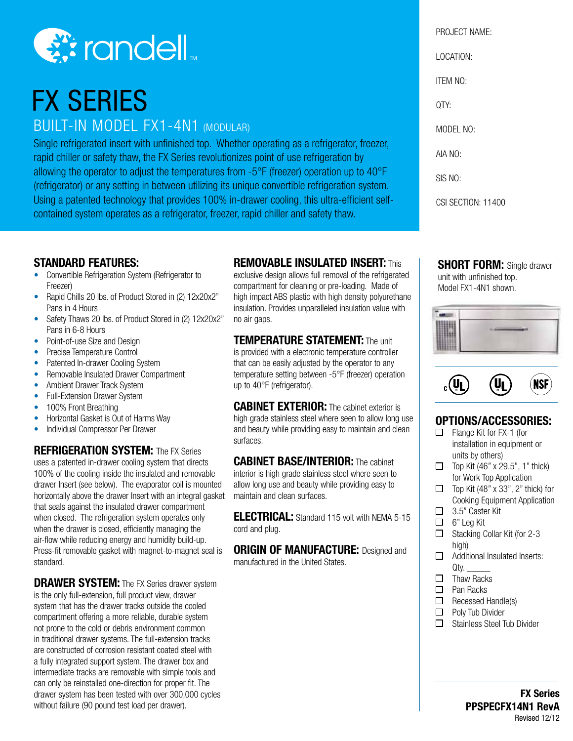

# FX SERIES

## BUILT-IN MODEL FX1-4N1 (MODULAR)

Single refrigerated insert with unfinished top. Whether operating as a refrigerator, freezer, rapid chiller or safety thaw, the FX Series revolutionizes point of use refrigeration by allowing the operator to adjust the temperatures from -5°F (freezer) operation up to 40°F (refrigerator) or any setting in between utilizing its unique convertible refrigeration system. Using a patented technology that provides 100% in-drawer cooling, this ultra-efficient selfcontained system operates as a refrigerator, freezer, rapid chiller and safety thaw.

#### **STANDARD FEATURES:**

- Convertible Refrigeration System (Refrigerator to Freezer)
- Rapid Chills 20 lbs. of Product Stored in (2) 12x20x2" Pans in 4 Hours
- Safety Thaws 20 lbs. of Product Stored in (2) 12x20x2" Pans in 6-8 Hours
- Point-of-use Size and Design
- Precise Temperature Control
- Patented In-drawer Cooling System
- Removable Insulated Drawer Compartment
- Ambient Drawer Track System
- Full-Extension Drawer System
- 100% Front Breathing
- Horizontal Gasket is Out of Harms Way
- Individual Compressor Per Drawer

#### **REFRIGERATION SYSTEM:** The FX Series

uses a patented in-drawer cooling system that directs 100% of the cooling inside the insulated and removable drawer Insert (see below). The evaporator coil is mounted horizontally above the drawer Insert with an integral gasket that seals against the insulated drawer compartment when closed. The refrigeration system operates only when the drawer is closed, efficiently managing the air-flow while reducing energy and humidity build-up. Press-fit removable gasket with magnet-to-magnet seal is standard.

**DRAWER SYSTEM:** The FX Series drawer system is the only full-extension, full product view, drawer system that has the drawer tracks outside the cooled compartment offering a more reliable, durable system not prone to the cold or debris environment common in traditional drawer systems. The full-extension tracks are constructed of corrosion resistant coated steel with a fully integrated support system. The drawer box and intermediate tracks are removable with simple tools and can only be reinstalled one-direction for proper fit. The drawer system has been tested with over 300,000 cycles without failure (90 pound test load per drawer).

#### **REMOVABLE INSULATED INSERT:** This

exclusive design allows full removal of the refrigerated compartment for cleaning or pre-loading. Made of high impact ABS plastic with high density polyurethane insulation. Provides unparalleled insulation value with no air gaps.

#### **TEMPERATURE STATEMENT:** The unit

is provided with a electronic temperature controller that can be easily adjusted by the operator to any temperature setting between -5°F (freezer) operation up to 40°F (refrigerator).

**CABINET EXTERIOR:** The cabinet exterior is high grade stainless steel where seen to allow long use and beauty while providing easy to maintain and clean surfaces.

#### **CABINET BASE/INTERIOR:** The cabinet

interior is high grade stainless steel where seen to allow long use and beauty while providing easy to maintain and clean surfaces.

**ELECTRICAL:** Standard 115 volt with NEMA 5-15 cord and plug.

**ORIGIN OF MANUFACTURE:** Designed and manufactured in the United States.

PROJECT NAME: LOCATION: ITEM NO: QTY: MODEL NO: AIA NO: SIS NO:

CSI SECTION: 11400

**SHORT FORM: Single drawer** unit with unfinished top. Model FX1-4N1 shown.





### **OPTIONS/ACCESSORIES:**

- $\Box$  Flange Kit for FX-1 (for installation in equipment or units by others)
- $\Box$  Top Kit (46" x 29.5", 1" thick) for Work Top Application
- $\Box$  Top Kit (48" x 33", 2" thick) for Cooking Equipment Application
- □ 3.5" Caster Kit
- $\Box$  6" Leg Kit
- $\Box$  Stacking Collar Kit (for 2-3 high)
- $\Box$  Additional Insulated Inserts: Qty.
- $\Box$  Thaw Racks
- $\Box$  Pan Racks
- $\Box$  Recessed Handle(s)
- $\Box$  Poly Tub Divider
- □ Stainless Steel Tub Divider

**FX Series PPSPECFX14N1 RevA** Revised 12/12